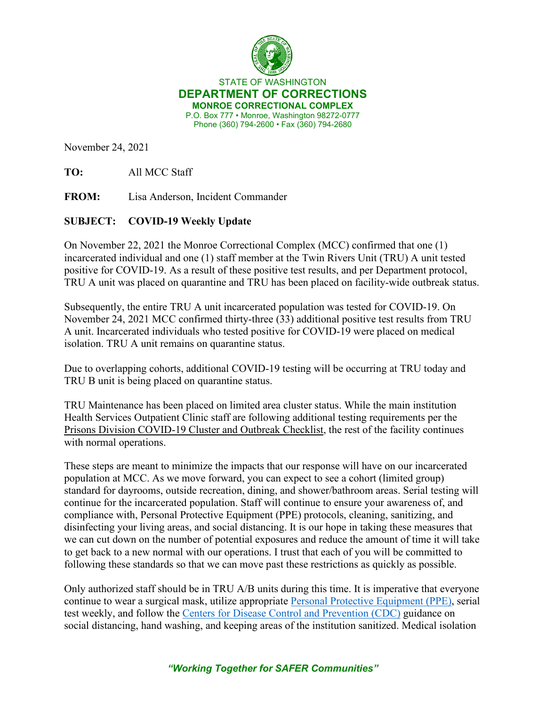

STATE OF WASHINGTON **DEPARTMENT OF CORRECTIONS MONROE CORRECTIONAL COMPLEX** P.O. Box 777 • Monroe, Washington 98272-0777 Phone (360) 794-2600 • Fax (360) 794-2680

November 24, 2021

**TO:** All MCC Staff

**FROM:** Lisa Anderson, Incident Commander

## **SUBJECT: COVID-19 Weekly Update**

On November 22, 2021 the Monroe Correctional Complex (MCC) confirmed that one (1) incarcerated individual and one (1) staff member at the Twin Rivers Unit (TRU) A unit tested positive for COVID-19. As a result of these positive test results, and per Department protocol, TRU A unit was placed on quarantine and TRU has been placed on facility-wide outbreak status.

Subsequently, the entire TRU A unit incarcerated population was tested for COVID-19. On November 24, 2021 MCC confirmed thirty-three (33) additional positive test results from TRU A unit. Incarcerated individuals who tested positive for COVID-19 were placed on medical isolation. TRU A unit remains on quarantine status.

Due to overlapping cohorts, additional COVID-19 testing will be occurring at TRU today and TRU B unit is being placed on quarantine status.

TRU Maintenance has been placed on limited area cluster status. While the main institution Health Services Outpatient Clinic staff are following additional testing requirements per the [Prisons Division COVID-19 Cluster and Outbreak Checklist,](https://www.doc.wa.gov/corrections/covid-19/docs/outbreak-checklist.pdf) the rest of the facility continues with normal operations.

These steps are meant to minimize the impacts that our response will have on our incarcerated population at MCC. As we move forward, you can expect to see a cohort (limited group) standard for dayrooms, outside recreation, dining, and shower/bathroom areas. Serial testing will continue for the incarcerated population. Staff will continue to ensure your awareness of, and compliance with, Personal Protective Equipment (PPE) protocols, cleaning, sanitizing, and disinfecting your living areas, and social distancing. It is our hope in taking these measures that we can cut down on the number of potential exposures and reduce the amount of time it will take to get back to a new normal with our operations. I trust that each of you will be committed to following these standards so that we can move past these restrictions as quickly as possible.

Only authorized staff should be in TRU A/B units during this time. It is imperative that everyone continue to wear a surgical mask, utilize appropriate [Personal Protective Equipment \(PPE\),](https://www.doc.wa.gov/corrections/covid-19/docs/ppe-matrix.pdf) serial test weekly, and follow the [Centers for Disease Control and Prevention \(CDC\)](https://www.cdc.gov/coronavirus/2019-ncov/communication/guidance.html) guidance on social distancing, hand washing, and keeping areas of the institution sanitized. Medical isolation